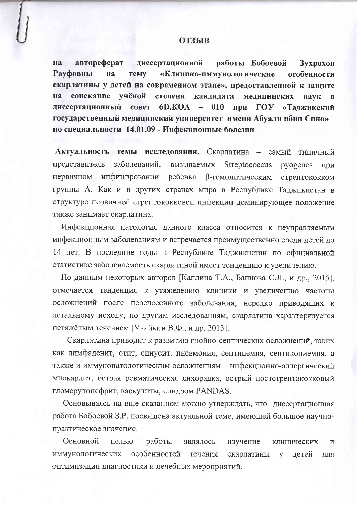## **ОТЗЫВ**

автореферат диссертационной работы Бобоевой на Зухрохон Рауфовны «Клинико-иммунологические на **TeMy** особенности скарлатины у детей на современном этапе», предоставленной к защите соискание учёной на степени кандидата медицинских наук  $\mathbf{B}$  $\Gamma O$ диссертационный cober  $6D.KOA$  – 010 при «Таджикский государственный медицинский университет имени Абуали ибни Сино» по специальности 14.01.09 - Инфекционные болезни

Актуальность темы исследования. Скарлатина - самый типичный представитель заболеваний, вызываемых Streptococcus pyogenes при первичном инфицировании ребенка β-гемолитическим стрептококком группы А. Как и в других странах мира в Республике Таджикистан в структуре первичной стрептококковой инфекции доминирующее положение также занимает скарлатина.

Инфекционная патология данного класса относится к неуправляемым инфекционным заболеваниям и встречается преимущественно среди детей до 14 лет. В последние годы в Республике Таджикистан по официальной статистике заболеваемость скарлатиной имеет тенденцию к увеличению.

По данным некоторых авторов [Каплина Т.А., Баннова С.Л., и др., 2015], отмечается тенденция к утяжелению клиники и увеличению частоты осложнений после перенесенного заболевания, нередко приводящих к летальному исходу, по другим исследованиям, скарлатина характеризуется нетяжёлым течением [Учайкин В.Ф., и др. 2013].

Скарлатина приводит к развитию гнойно-септических осложнений, таких как лимфаденит, отит, синусит, пневмония, септицемия, септикопиемия, а также и иммунопатологическим осложнениям - инфекционно-аллергический миокардит, острая ревматическая лихорадка, острый постстрептококковый гломерулонефрит, васкулиты, синдром PANDAS.

Основываясь на вше сказанном можно утверждать, что диссертационная работа Бобоевой З.Р. посвящена актуальной теме, имеющей большое научнопрактическое значение.

Основной работы целью являлось изучение клинических  $\overline{M}$ иммунологических особенностей течения скарлатины детей y ДЛЯ оптимизации диагностики и лечебных мероприятий.